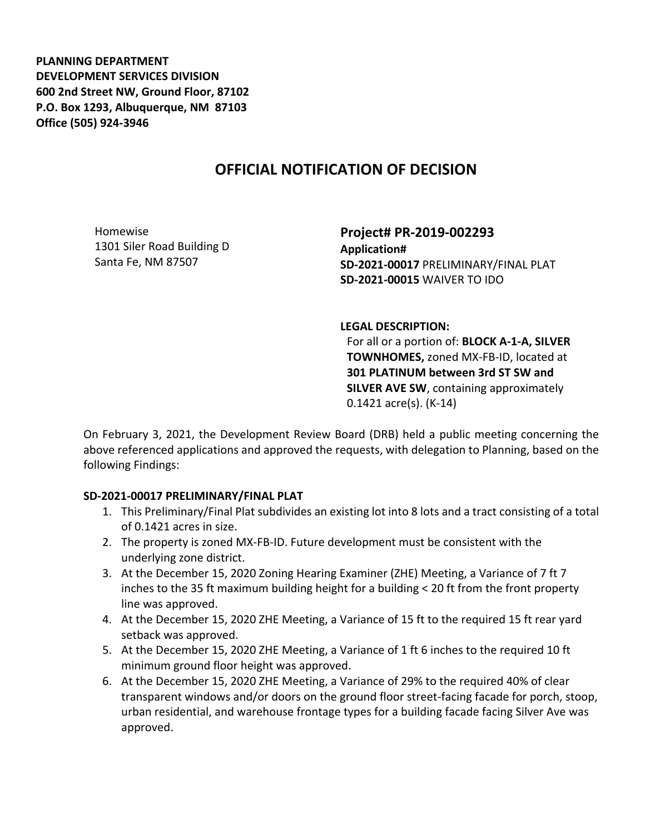**PLANNING DEPARTMENT DEVELOPMENT SERVICES DIVISION 600 2nd Street NW, Ground Floor, 87102 P.O. Box 1293, Albuquerque, NM 87103 Office (505) 924-3946** 

# **OFFICIAL NOTIFICATION OF DECISION**

Homewise 1301 Siler Road Building D Santa Fe, NM 87507

**Project# PR-2019-002293 Application# SD-2021-00017** PRELIMINARY/FINAL PLAT **SD-2021-00015** WAIVER TO IDO

**LEGAL DESCRIPTION:**

For all or a portion of: **BLOCK A-1-A, SILVER TOWNHOMES,** zoned MX-FB-ID, located at **301 PLATINUM between 3rd ST SW and SILVER AVE SW**, containing approximately 0.1421 acre(s). (K-14)

On February 3, 2021, the Development Review Board (DRB) held a public meeting concerning the above referenced applications and approved the requests, with delegation to Planning, based on the following Findings:

#### **SD-2021-00017 PRELIMINARY/FINAL PLAT**

- 1. This Preliminary/Final Plat subdivides an existing lot into 8 lots and a tract consisting of a total of 0.1421 acres in size.
- 2. The property is zoned MX-FB-ID. Future development must be consistent with the underlying zone district.
- 3. At the December 15, 2020 Zoning Hearing Examiner (ZHE) Meeting, a Variance of 7 ft 7 inches to the 35 ft maximum building height for a building < 20 ft from the front property line was approved.
- 4. At the December 15, 2020 ZHE Meeting, a Variance of 15 ft to the required 15 ft rear yard setback was approved.
- 5. At the December 15, 2020 ZHE Meeting, a Variance of 1 ft 6 inches to the required 10 ft minimum ground floor height was approved.
- 6. At the December 15, 2020 ZHE Meeting, a Variance of 29% to the required 40% of clear transparent windows and/or doors on the ground floor street-facing facade for porch, stoop, urban residential, and warehouse frontage types for a building facade facing Silver Ave was approved.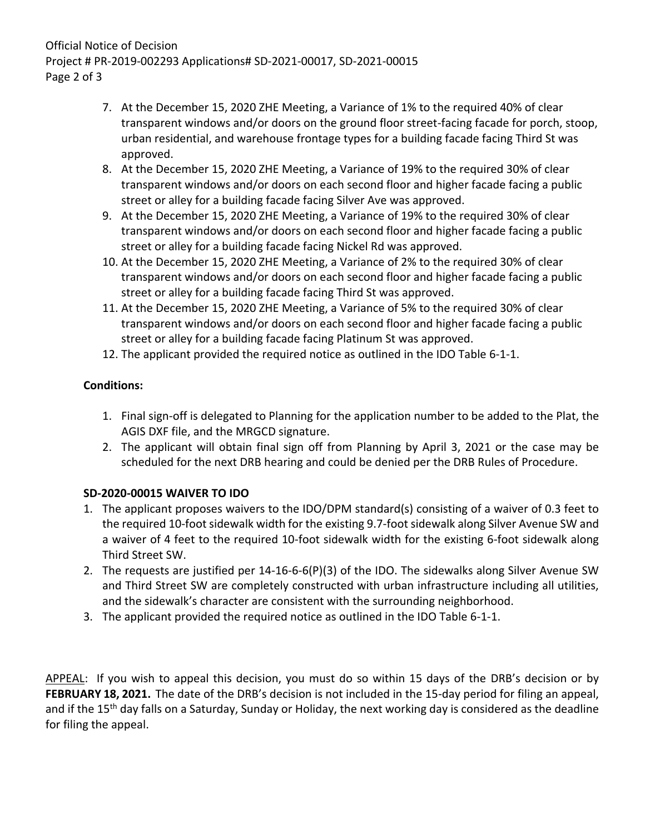### Official Notice of Decision Project # PR-2019-002293 Applications# SD-2021-00017, SD-2021-00015 Page 2 of 3

- 7. At the December 15, 2020 ZHE Meeting, a Variance of 1% to the required 40% of clear transparent windows and/or doors on the ground floor street-facing facade for porch, stoop, urban residential, and warehouse frontage types for a building facade facing Third St was approved.
- 8. At the December 15, 2020 ZHE Meeting, a Variance of 19% to the required 30% of clear transparent windows and/or doors on each second floor and higher facade facing a public street or alley for a building facade facing Silver Ave was approved.
- 9. At the December 15, 2020 ZHE Meeting, a Variance of 19% to the required 30% of clear transparent windows and/or doors on each second floor and higher facade facing a public street or alley for a building facade facing Nickel Rd was approved.
- 10. At the December 15, 2020 ZHE Meeting, a Variance of 2% to the required 30% of clear transparent windows and/or doors on each second floor and higher facade facing a public street or alley for a building facade facing Third St was approved.
- 11. At the December 15, 2020 ZHE Meeting, a Variance of 5% to the required 30% of clear transparent windows and/or doors on each second floor and higher facade facing a public street or alley for a building facade facing Platinum St was approved.
- 12. The applicant provided the required notice as outlined in the IDO Table 6-1-1.

### **Conditions:**

- 1. Final sign-off is delegated to Planning for the application number to be added to the Plat, the AGIS DXF file, and the MRGCD signature.
- 2. The applicant will obtain final sign off from Planning by April 3, 2021 or the case may be scheduled for the next DRB hearing and could be denied per the DRB Rules of Procedure.

## **SD-2020-00015 WAIVER TO IDO**

- 1. The applicant proposes waivers to the IDO/DPM standard(s) consisting of a waiver of 0.3 feet to the required 10-foot sidewalk width for the existing 9.7-foot sidewalk along Silver Avenue SW and a waiver of 4 feet to the required 10-foot sidewalk width for the existing 6-foot sidewalk along Third Street SW.
- 2. The requests are justified per 14-16-6-6(P)(3) of the IDO. The sidewalks along Silver Avenue SW and Third Street SW are completely constructed with urban infrastructure including all utilities, and the sidewalk's character are consistent with the surrounding neighborhood.
- 3. The applicant provided the required notice as outlined in the IDO Table 6-1-1.

APPEAL: If you wish to appeal this decision, you must do so within 15 days of the DRB's decision or by **FEBRUARY 18, 2021.** The date of the DRB's decision is not included in the 15-day period for filing an appeal, and if the 15<sup>th</sup> day falls on a Saturday, Sunday or Holiday, the next working day is considered as the deadline for filing the appeal.